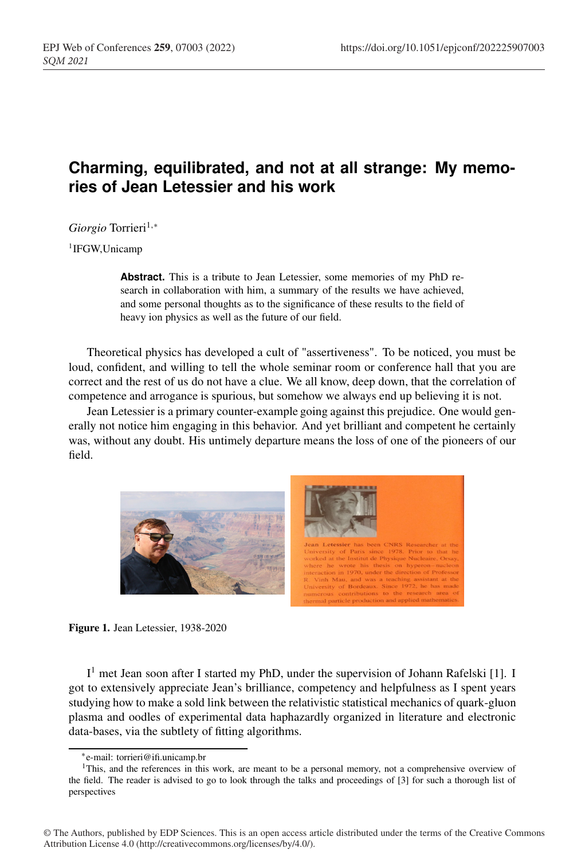## **Charming, equilibrated, and not at all strange: My memories of Jean Letessier and his work**

*Giorgio* Torrieri<sup>1,∗</sup>

1IFGW,Unicamp

**Abstract.** This is a tribute to Jean Letessier, some memories of my PhD research in collaboration with him, a summary of the results we have achieved, and some personal thoughts as to the significance of these results to the field of heavy ion physics as well as the future of our field.

Theoretical physics has developed a cult of "assertiveness". To be noticed, you must be loud, confident, and willing to tell the whole seminar room or conference hall that you are correct and the rest of us do not have a clue. We all know, deep down, that the correlation of competence and arrogance is spurious, but somehow we always end up believing it is not.

Jean Letessier is a primary counter-example going against this prejudice. One would generally not notice him engaging in this behavior. And yet brilliant and competent he certainly was, without any doubt. His untimely departure means the loss of one of the pioneers of our field.





I<sup>1</sup> met Jean soon after I started my PhD, under the supervision of Johann Rafelski [1]. I got to extensively appreciate Jean's brilliance, competency and helpfulness as I spent years studying how to make a sold link between the relativistic statistical mechanics of quark-gluon plasma and oodles of experimental data haphazardly organized in literature and electronic data-bases, via the subtlety of fitting algorithms.

<sup>∗</sup>e-mail: torrieri@ifi.unicamp.br

<sup>1</sup>This, and the references in this work, are meant to be a personal memory, not a comprehensive overview of the field. The reader is advised to go to look through the talks and proceedings of [3] for such a thorough list of perspectives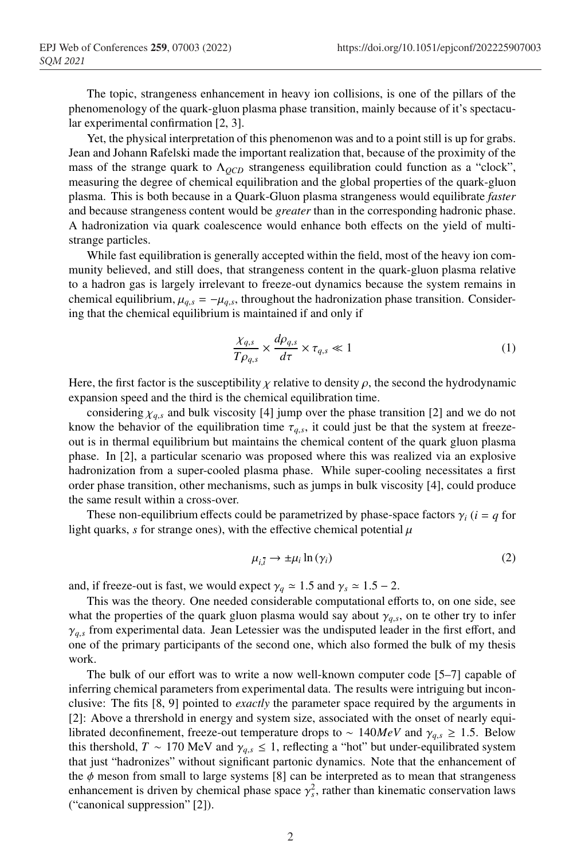The topic, strangeness enhancement in heavy ion collisions, is one of the pillars of the phenomenology of the quark-gluon plasma phase transition, mainly because of it's spectacular experimental confirmation [2, 3].

Yet, the physical interpretation of this phenomenon was and to a point still is up for grabs. Jean and Johann Rafelski made the important realization that, because of the proximity of the mass of the strange quark to  $\Lambda_{QCD}$  strangeness equilibration could function as a "clock", measuring the degree of chemical equilibration and the global properties of the quark-gluon plasma. This is both because in a Quark-Gluon plasma strangeness would equilibrate *faster* and because strangeness content would be *greater* than in the corresponding hadronic phase. A hadronization via quark coalescence would enhance both effects on the yield of multistrange particles.

While fast equilibration is generally accepted within the field, most of the heavy ion community believed, and still does, that strangeness content in the quark-gluon plasma relative to a hadron gas is largely irrelevant to freeze-out dynamics because the system remains in chemical equilibrium,  $\mu_{q,s} = -\mu_{q,s}$ , throughout the hadronization phase transition. Considering that the chemical equilibrium is maintained if and only if

$$
\frac{\chi_{q,s}}{T\rho_{q,s}} \times \frac{d\rho_{q,s}}{d\tau} \times \tau_{q,s} \ll 1
$$
\n(1)

Here, the first factor is the susceptibility  $\chi$  relative to density  $\rho$ , the second the hydrodynamic expansion speed and the third is the chemical equilibration time.

considering  $\chi_{q,s}$  and bulk viscosity [4] jump over the phase transition [2] and we do not know the behavior of the equilibration time  $\tau_{q,s}$ , it could just be that the system at freezeout is in thermal equilibrium but maintains the chemical content of the quark gluon plasma phase. In [2], a particular scenario was proposed where this was realized via an explosive hadronization from a super-cooled plasma phase. While super-cooling necessitates a first order phase transition, other mechanisms, such as jumps in bulk viscosity [4], could produce the same result within a cross-over.

These non-equilibrium effects could be parametrized by phase-space factors  $\gamma_i$  (*i* = *q* for light quarks,  $s$  for strange ones), with the effective chemical potential  $\mu$ 

$$
\mu_{i,\overline{i}} \to \pm \mu_i \ln(\gamma_i) \tag{2}
$$

and, if freeze-out is fast, we would expect  $\gamma_q \approx 1.5$  and  $\gamma_s \approx 1.5 - 2$ .

This was the theory. One needed considerable computational efforts to, on one side, see what the properties of the quark gluon plasma would say about  $\gamma_{q,s}$ , on te other try to infer  $\gamma_{q,s}$  from experimental data. Jean Letessier was the undisputed leader in the first effort, and one of the primary participants of the second one, which also formed the bulk of my thesis work.

The bulk of our effort was to write a now well-known computer code [5–7] capable of inferring chemical parameters from experimental data. The results were intriguing but inconclusive: The fits [8, 9] pointed to *exactly* the parameter space required by the arguments in [2]: Above a thrershold in energy and system size, associated with the onset of nearly equilibrated deconfinement, freeze-out temperature drops to ~ 140*MeV* and  $\gamma_{q,s} \geq 1.5$ . Below this thershold, *T* ~ 170 MeV and  $\gamma_{q,s} \leq 1$ , reflecting a "hot" but under-equilibrated system that just "hadronizes" without significant partonic dynamics. Note that the enhancement of the  $\phi$  meson from small to large systems [8] can be interpreted as to mean that strangeness enhancement is driven by chemical phase space  $\gamma_s^2$ , rather than kinematic conservation laws ("canonical suppression" [2]).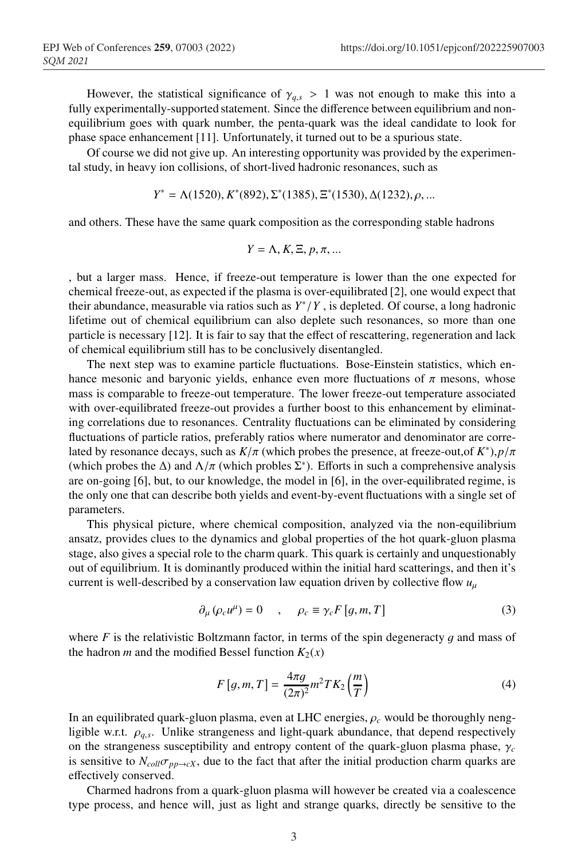However, the statistical significance of  $\gamma_{q,s} > 1$  was not enough to make this into a fully experimentally-supported statement. Since the difference between equilibrium and nonequilibrium goes with quark number, the penta-quark was the ideal candidate to look for phase space enhancement [11]. Unfortunately, it turned out to be a spurious state.

Of course we did not give up. An interesting opportunity was provided by the experimental study, in heavy ion collisions, of short-lived hadronic resonances, such as

$$
Y^* = \Lambda(1520), K^*(892), \Sigma^*(1385), \Xi^*(1530), \Delta(1232), \rho, \dots
$$

and others. These have the same quark composition as the corresponding stable hadrons

$$
Y = \Lambda, K, \Xi, p, \pi, \dots
$$

, but a larger mass. Hence, if freeze-out temperature is lower than the one expected for chemical freeze-out, as expected if the plasma is over-equilibrated [2], one would expect that their abundance, measurable via ratios such as  $Y^*/Y$ , is depleted. Of course, a long hadronic lifetime out of chemical equilibrium can also deplete such resonances, so more than one particle is necessary [12]. It is fair to say that the effect of rescattering, regeneration and lack of chemical equilibrium still has to be conclusively disentangled.

The next step was to examine particle fluctuations. Bose-Einstein statistics, which enhance mesonic and baryonic yields, enhance even more fluctuations of  $\pi$  mesons, whose mass is comparable to freeze-out temperature. The lower freeze-out temperature associated with over-equilibrated freeze-out provides a further boost to this enhancement by eliminating correlations due to resonances. Centrality fluctuations can be eliminated by considering fluctuations of particle ratios, preferably ratios where numerator and denominator are correlated by resonance decays, such as *K*/π (which probes the presence, at freeze-out,of *K*∗),*p*/π (which probes the  $\Delta$ ) and  $\Lambda/\pi$  (which probles  $\Sigma^*$ ). Efforts in such a comprehensive analysis are on-going [6], but, to our knowledge, the model in [6], in the over-equilibrated regime, is the only one that can describe both yields and event-by-event fluctuations with a single set of parameters.

This physical picture, where chemical composition, analyzed via the non-equilibrium ansatz, provides clues to the dynamics and global properties of the hot quark-gluon plasma stage, also gives a special role to the charm quark. This quark is certainly and unquestionably out of equilibrium. It is dominantly produced within the initial hard scatterings, and then it's current is well-described by a conservation law equation driven by collective flow  $u<sub>u</sub>$ 

$$
\partial_{\mu} (\rho_c u^{\mu}) = 0 \quad , \quad \rho_c \equiv \gamma_c F \left[ g, m, T \right] \tag{3}
$$

where  $F$  is the relativistic Boltzmann factor, in terms of the spin degeneracty  $g$  and mass of the hadron *m* and the modified Bessel function  $K_2(x)$ 

$$
F[g,m,T] = \frac{4\pi g}{(2\pi)^2} m^2 T K_2 \left(\frac{m}{T}\right)
$$
 (4)

In an equilibrated quark-gluon plasma, even at LHC energies,  $\rho_c$  would be thoroughly nengligible w.r.t. ρ*q*,*s*. Unlike strangeness and light-quark abundance, that depend respectively on the strangeness susceptibility and entropy content of the quark-gluon plasma phase, γ*<sup>c</sup>* is sensitive to  $N_{coll}\sigma_{pp\to cX}$ , due to the fact that after the initial production charm quarks are effectively conserved.

Charmed hadrons from a quark-gluon plasma will however be created via a coalescence type process, and hence will, just as light and strange quarks, directly be sensitive to the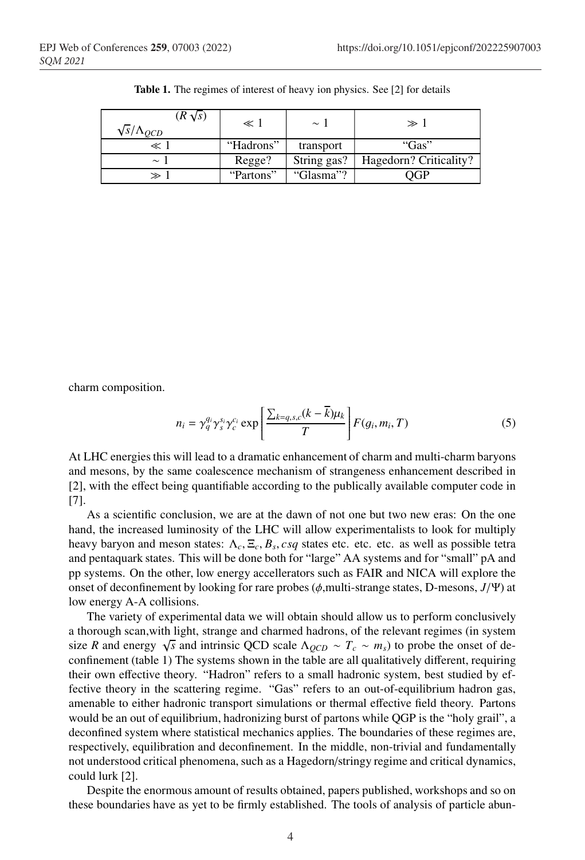| $(R\sqrt{s})$<br>$\sqrt{s}/\Lambda_{QCD}$ | ≪ 1       | $\sim$ 1    | $\gg$ 1                |
|-------------------------------------------|-----------|-------------|------------------------|
| $\ll 1$                                   | "Hadrons" | transport   | "Gas"                  |
| $\sim$ 1                                  | Regge?    | String gas? | Hagedorn? Criticality? |
|                                           | "Partons" | "Glasma"?   |                        |

Table 1. The regimes of interest of heavy ion physics. See [2] for details

charm composition.

$$
n_i = \gamma_q^{q_i} \gamma_s^{s_i} \gamma_c^{c_i} \exp\left[\frac{\sum_{k=q,s,c} (k-\overline{k})\mu_k}{T}\right] F(g_i, m_i, T) \tag{5}
$$

At LHC energies this will lead to a dramatic enhancement of charm and multi-charm baryons and mesons, by the same coalescence mechanism of strangeness enhancement described in [2], with the effect being quantifiable according to the publically available computer code in [7].

As a scientific conclusion, we are at the dawn of not one but two new eras: On the one hand, the increased luminosity of the LHC will allow experimentalists to look for multiply heavy baryon and meson states: Λ*c*, Ξ*c*, *Bs*, *csq* states etc. etc. etc. as well as possible tetra and pentaquark states. This will be done both for "large" AA systems and for "small" pA and pp systems. On the other, low energy accellerators such as FAIR and NICA will explore the onset of deconfinement by looking for rare probes (φ,multi-strange states, D-mesons, *J*/Ψ) at low energy A-A collisions.

The variety of experimental data we will obtain should allow us to perform conclusively a thorough scan,with light, strange and charmed hadrons, of the relevant regimes (in system size *R* and energy  $\sqrt{s}$  and intrinsic QCD scale  $\Lambda_{QCD} \sim T_c \sim m_s$ ) to probe the onset of deconfinement (table 1) The systems shown in the table are all qualitatively different, requiring their own effective theory. "Hadron" refers to a small hadronic system, best studied by effective theory in the scattering regime. "Gas" refers to an out-of-equilibrium hadron gas, amenable to either hadronic transport simulations or thermal effective field theory. Partons would be an out of equilibrium, hadronizing burst of partons while QGP is the "holy grail", a deconfined system where statistical mechanics applies. The boundaries of these regimes are, respectively, equilibration and deconfinement. In the middle, non-trivial and fundamentally not understood critical phenomena, such as a Hagedorn/stringy regime and critical dynamics, could lurk [2].

Despite the enormous amount of results obtained, papers published, workshops and so on these boundaries have as yet to be firmly established. The tools of analysis of particle abun